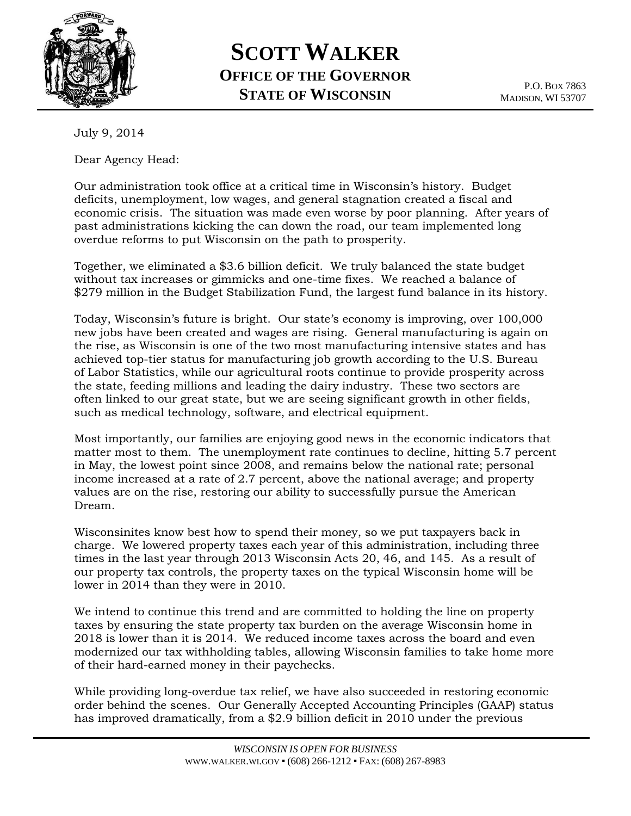

## **SCOTT WALKER OFFICE OF THE GOVERNOR STATE OF WISCONSIN**

P.O. BOX 7863 MADISON, WI 53707

July 9, 2014

Dear Agency Head:

Our administration took office at a critical time in Wisconsin's history. Budget deficits, unemployment, low wages, and general stagnation created a fiscal and economic crisis. The situation was made even worse by poor planning. After years of past administrations kicking the can down the road, our team implemented long overdue reforms to put Wisconsin on the path to prosperity.

Together, we eliminated a \$3.6 billion deficit. We truly balanced the state budget without tax increases or gimmicks and one-time fixes. We reached a balance of \$279 million in the Budget Stabilization Fund, the largest fund balance in its history.

Today, Wisconsin's future is bright. Our state's economy is improving, over 100,000 new jobs have been created and wages are rising. General manufacturing is again on the rise, as Wisconsin is one of the two most manufacturing intensive states and has achieved top-tier status for manufacturing job growth according to the U.S. Bureau of Labor Statistics, while our agricultural roots continue to provide prosperity across the state, feeding millions and leading the dairy industry. These two sectors are often linked to our great state, but we are seeing significant growth in other fields, such as medical technology, software, and electrical equipment.

Most importantly, our families are enjoying good news in the economic indicators that matter most to them. The unemployment rate continues to decline, hitting 5.7 percent in May, the lowest point since 2008, and remains below the national rate; personal income increased at a rate of 2.7 percent, above the national average; and property values are on the rise, restoring our ability to successfully pursue the American Dream.

Wisconsinites know best how to spend their money, so we put taxpayers back in charge. We lowered property taxes each year of this administration, including three times in the last year through 2013 Wisconsin Acts 20, 46, and 145. As a result of our property tax controls, the property taxes on the typical Wisconsin home will be lower in 2014 than they were in 2010.

We intend to continue this trend and are committed to holding the line on property taxes by ensuring the state property tax burden on the average Wisconsin home in 2018 is lower than it is 2014. We reduced income taxes across the board and even modernized our tax withholding tables, allowing Wisconsin families to take home more of their hard-earned money in their paychecks.

While providing long-overdue tax relief, we have also succeeded in restoring economic order behind the scenes. Our Generally Accepted Accounting Principles (GAAP) status has improved dramatically, from a \$2.9 billion deficit in 2010 under the previous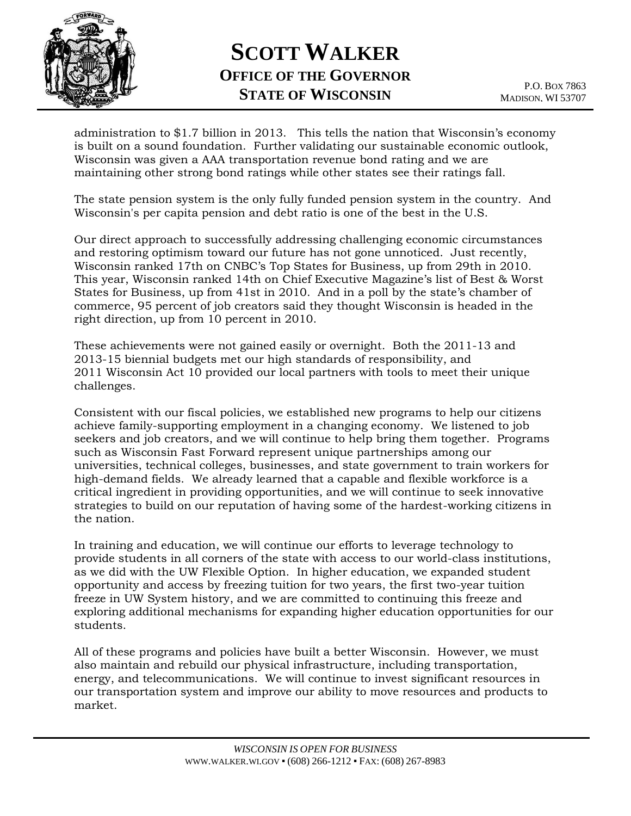

## **SCOTT WALKER OFFICE OF THE GOVERNOR STATE OF WISCONSIN**

administration to \$1.7 billion in 2013. This tells the nation that Wisconsin's economy is built on a sound foundation. Further validating our sustainable economic outlook, Wisconsin was given a AAA transportation revenue bond rating and we are maintaining other strong bond ratings while other states see their ratings fall.

The state pension system is the only fully funded pension system in the country. And Wisconsin's per capita pension and debt ratio is one of the best in the U.S.

Our direct approach to successfully addressing challenging economic circumstances and restoring optimism toward our future has not gone unnoticed. Just recently, Wisconsin ranked 17th on CNBC's Top States for Business, up from 29th in 2010. This year, Wisconsin ranked 14th on Chief Executive Magazine's list of Best & Worst States for Business, up from 41st in 2010. And in a poll by the state's chamber of commerce, 95 percent of job creators said they thought Wisconsin is headed in the right direction, up from 10 percent in 2010.

These achievements were not gained easily or overnight. Both the 2011-13 and 2013-15 biennial budgets met our high standards of responsibility, and 2011 Wisconsin Act 10 provided our local partners with tools to meet their unique challenges.

Consistent with our fiscal policies, we established new programs to help our citizens achieve family-supporting employment in a changing economy. We listened to job seekers and job creators, and we will continue to help bring them together. Programs such as Wisconsin Fast Forward represent unique partnerships among our universities, technical colleges, businesses, and state government to train workers for high-demand fields. We already learned that a capable and flexible workforce is a critical ingredient in providing opportunities, and we will continue to seek innovative strategies to build on our reputation of having some of the hardest-working citizens in the nation.

In training and education, we will continue our efforts to leverage technology to provide students in all corners of the state with access to our world-class institutions, as we did with the UW Flexible Option. In higher education, we expanded student opportunity and access by freezing tuition for two years, the first two-year tuition freeze in UW System history, and we are committed to continuing this freeze and exploring additional mechanisms for expanding higher education opportunities for our students.

All of these programs and policies have built a better Wisconsin. However, we must also maintain and rebuild our physical infrastructure, including transportation, energy, and telecommunications. We will continue to invest significant resources in our transportation system and improve our ability to move resources and products to market.